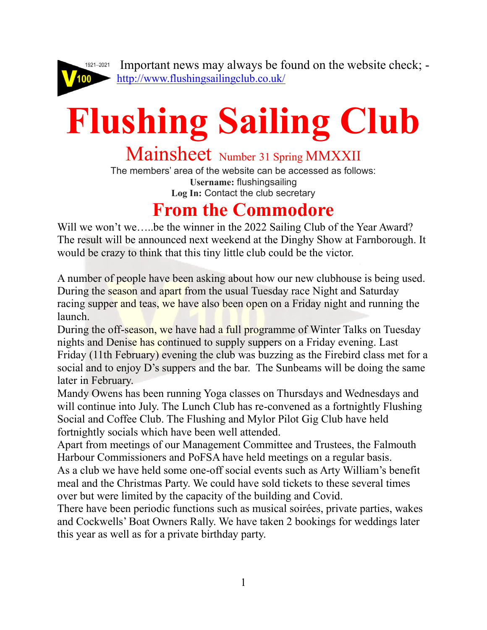

 Important news may always be found on the website check; <http://www.flushingsailingclub.co.uk/>

# **Flushing Sailing Club**

Mainsheet Number 31 Spring MMXXII

The members' area of the website can be accessed as follows: **Username:** flushingsailing **Log In:** Contact the club secretary

### **From the Commodore**

Will we won't we.....be the winner in the 2022 Sailing Club of the Year Award? The result will be announced next weekend at the Dinghy Show at Farnborough. It would be crazy to think that this tiny little club could be the victor.

A number of people have been asking about how our new clubhouse is being used. During the season and apart from the usual Tuesday race Night and Saturday racing supper and teas, we have also been open on a Friday night and running the launch.

During the off-season, we have had a full programme of Winter Talks on Tuesday nights and Denise has continued to supply suppers on a Friday evening. Last Friday (11th February) evening the club was buzzing as the Firebird class met for a social and to enjoy D's suppers and the bar. The Sunbeams will be doing the same later in February.

Mandy Owens has been running Yoga classes on Thursdays and Wednesdays and will continue into July. The Lunch Club has re-convened as a fortnightly Flushing Social and Coffee Club. The Flushing and Mylor Pilot Gig Club have held fortnightly socials which have been well attended.

Apart from meetings of our Management Committee and Trustees, the Falmouth Harbour Commissioners and PoFSA have held meetings on a regular basis.

As a club we have held some one-off social events such as Arty William's benefit meal and the Christmas Party. We could have sold tickets to these several times over but were limited by the capacity of the building and Covid.

There have been periodic functions such as musical soirées, private parties, wakes and Cockwells' Boat Owners Rally. We have taken 2 bookings for weddings later this year as well as for a private birthday party.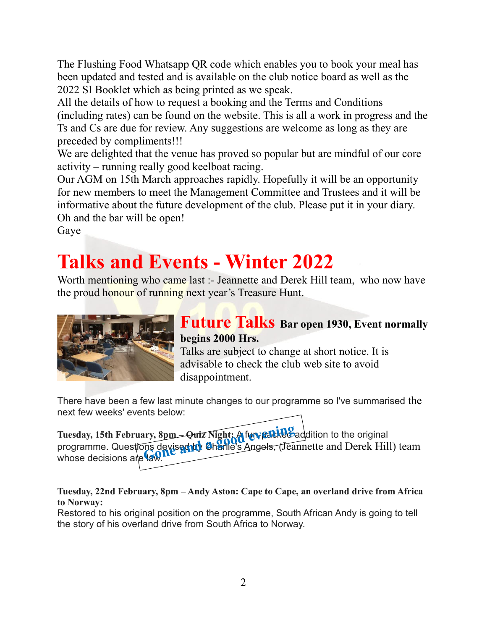The Flushing Food Whatsapp QR code which enables you to book your meal has been updated and tested and is available on the club notice board as well as the 2022 SI Booklet which as being printed as we speak.

All the details of how to request a booking and the Terms and Conditions (including rates) can be found on the website. This is all a work in progress and the Ts and Cs are due for review. Any suggestions are welcome as long as they are preceded by compliments!!!

We are delighted that the venue has proved so popular but are mindful of our core activity – running really good keelboat racing.

Our AGM on 15th March approaches rapidly. Hopefully it will be an opportunity for new members to meet the Management Committee and Trustees and it will be informative about the future development of the club. Please put it in your diary. Oh and the bar will be open!

Gaye

## **Talks and Events - Winter 2022**

Worth mentioning who came last :- Jeannette and Derek Hill team, who now have the proud honour of running next year's Treasure Hunt.



### **Future Talks Bar open 1930, Event normally begins 2000 Hrs.**

Talks are subject to change at short notice. It is advisable to check the club web site to avoid disappointment.

There have been a few last minute changes to our programme so I've summarised the next few weeks' events below:

Tuesday, 15th February, 8pm = Quiz Night; A fun-packed addition to the original programme. Questions devised to Charlie's Angels, (Jeannette and Derek Hill) team whose decisions are law.

#### **Tuesday, 22nd February, 8pm – Andy Aston: Cape to Cape, an overland drive from Africa to Norway:**

Restored to his original position on the programme, South African Andy is going to tell the story of his overland drive from South Africa to Norway.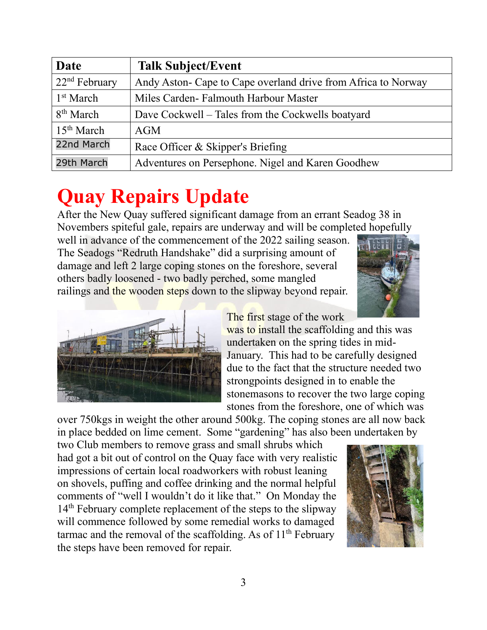| Date                   | <b>Talk Subject/Event</b>                                     |
|------------------------|---------------------------------------------------------------|
| $22nd$ February        | Andy Aston- Cape to Cape overland drive from Africa to Norway |
| 1 <sup>st</sup> March  | Miles Carden-Falmouth Harbour Master                          |
| 8 <sup>th</sup> March  | Dave Cockwell – Tales from the Cockwells boatyard             |
| 15 <sup>th</sup> March | AGM                                                           |
| 22nd March             | Race Officer & Skipper's Briefing                             |
| 29th March             | Adventures on Persephone. Nigel and Karen Goodhew             |

## **Quay Repairs Update**

After the New Quay suffered significant damage from an errant Seadog 38 in Novembers spiteful gale, repairs are underway and will be completed hopefully

well in advance of the commencement of the 2022 sailing season. The Seadogs "Redruth Handshake" did a surprising amount of damage and left 2 large coping stones on the foreshore, several others badly loosened - two badly perched, some mangled railings and the wooden steps down to the slipway beyond repair.





The first stage of the work

was to install the scaffolding and this was undertaken on the spring tides in mid-January. This had to be carefully designed due to the fact that the structure needed two strongpoints designed in to enable the stonemasons to recover the two large coping stones from the foreshore, one of which was

over 750kgs in weight the other around 500kg. The coping stones are all now back in place bedded on lime cement. Some "gardening" has also been undertaken by

two Club members to remove grass and small shrubs which had got a bit out of control on the Quay face with very realistic impressions of certain local roadworkers with robust leaning on shovels, puffing and coffee drinking and the normal helpful comments of "well I wouldn't do it like that." On Monday the 14<sup>th</sup> February complete replacement of the steps to the slipway will commence followed by some remedial works to damaged tarmac and the removal of the scaffolding. As of  $11<sup>th</sup>$  February the steps have been removed for repair.

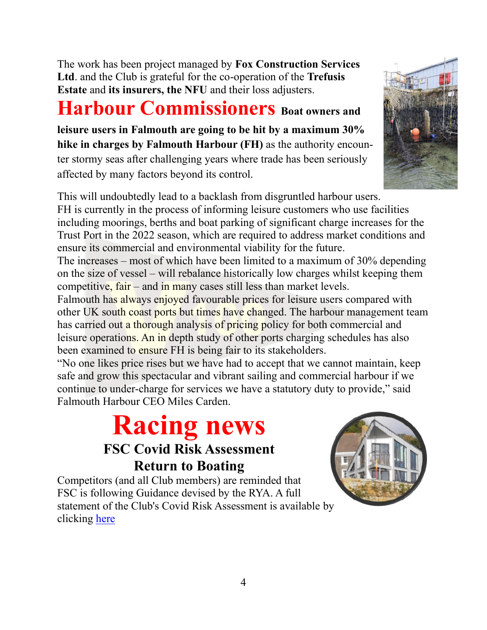The work has been project managed by **Fox Construction Services Ltd**. and the Club is grateful for the co-operation of the **Trefusis Estate** and **its insurers, the NFU** and their loss adjusters.

## **Harbour Commissioners** Boat owners and

**leisure users in Falmouth are going to be hit by a maximum 30% hike in charges by Falmouth Harbour (FH)** as the authority encounter stormy seas after challenging years where trade has been seriously affected by many factors beyond its control.

This will undoubtedly lead to a backlash from disgruntled harbour users. FH is currently in the process of informing leisure customers who use facilities including moorings, berths and boat parking of significant charge increases for the Trust Port in the 2022 season, which are required to address market conditions and ensure its commercial and environmental viability for the future.

The increases – most of which have been limited to a maximum of 30% depending on the size of vessel – will rebalance historically low charges whilst keeping them competitive, fair – and in many cases still less than market levels.

Falmouth has always enjoyed favourable prices for leisure users compared with other UK south coast ports but times have changed. The harbour management team has carried out a thorough analysis of pricing policy for both commercial and leisure operations. An in depth study of other ports charging schedules has also been examined to ensure FH is being fair to its stakeholders.

"No one likes price rises but we have had to accept that we cannot maintain, keep safe and grow this spectacular and vibrant sailing and commercial harbour if we continue to under-charge for services we have a statutory duty to provide," said Falmouth Harbour CEO Miles Carden.

## **Racing news**

### **FSC Covid Risk Assessment Return to Boating**

Competitors (and all Club members) are reminded that FSC is following Guidance devised by the RYA. A full statement of the Club's Covid Risk Assessment is available by clicking [here](http://www.flushingsailingclub.co.uk/covid-matrix.htm)



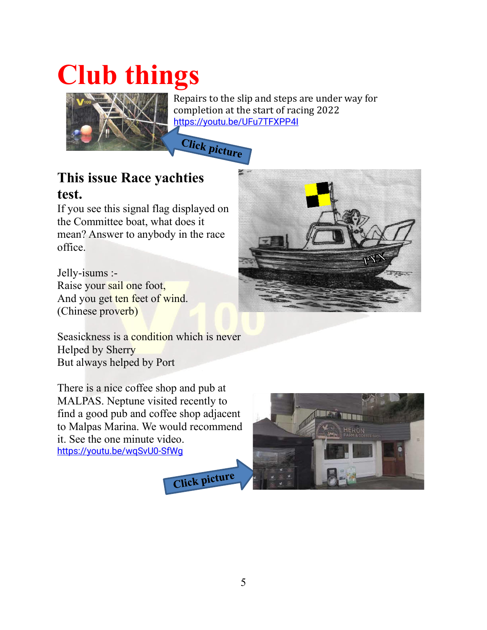# **Club things**



Repairs to the slip and steps are under way for completion at the start of racing 2022 <https://youtu.be/UFu7TFXPP4I>

**Click picture** 

### **This issue Race yachties test.**

If you see this signal flag displayed on the Committee boat, what does it mean? Answer to anybody in the race office.

Jelly-isums :- Raise your sail one foot, And you get ten feet of wind. (Chinese proverb)

Seasickness is a condition which is never Helped by Sherry But always helped by Port

There is a nice coffee shop and pub at MALPAS. Neptune visited recently to find a good pub and coffee shop adjacent to Malpas Marina. We would recommend it. See the one minute video. <https://youtu.be/wqSvU0-SfWg>





Click picture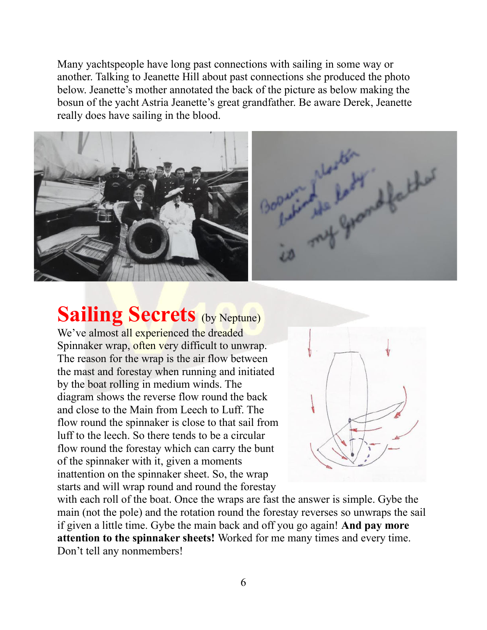Many yachtspeople have long past connections with sailing in some way or another. Talking to Jeanette Hill about past connections she produced the photo below. Jeanette's mother annotated the back of the picture as below making the bosun of the yacht Astria Jeanette's great grandfather. Be aware Derek, Jeanette really does have sailing in the blood.



## **Sailing Secrets (by Neptune)**

We've almost all experienced the dreaded Spinnaker wrap, often very difficult to unwrap. The reason for the wrap is the air flow between the mast and forestay when running and initiated by the boat rolling in medium winds. The diagram shows the reverse flow round the back and close to the Main from Leech to Luff. The flow round the spinnaker is close to that sail from luff to the leech. So there tends to be a circular flow round the forestay which can carry the bunt of the spinnaker with it, given a moments inattention on the spinnaker sheet. So, the wrap starts and will wrap round and round the forestay



with each roll of the boat. Once the wraps are fast the answer is simple. Gybe the main (not the pole) and the rotation round the forestay reverses so unwraps the sail if given a little time. Gybe the main back and off you go again! **And pay more attention to the spinnaker sheets!** Worked for me many times and every time. Don't tell any nonmembers!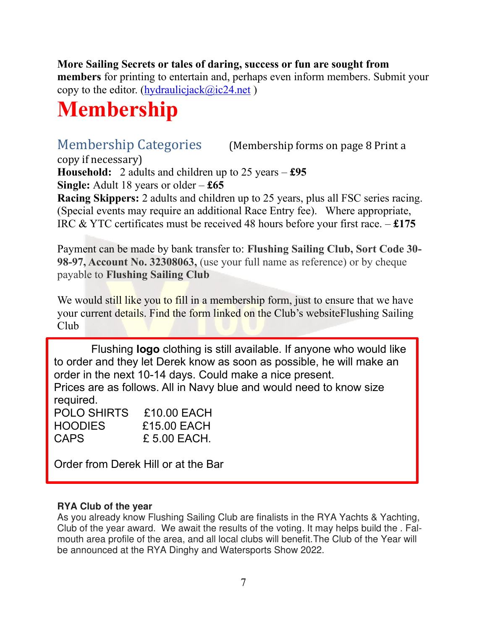#### **More Sailing Secrets or tales of daring, success or fun are sought from**

**members** for printing to entertain and, perhaps even inform members. Submit your copy to the editor. (hydraulicjack $(\partial_{\alpha})$ ic24.net)

## **Membership**

Membership Categories (Membership forms on page 8 Print a

copy if necessary)

**Household:** 2 adults and children up to 25 years – **£95 Single:** Adult 18 years or older – **£65**

**Racing Skippers:** 2 adults and children up to 25 years, plus all FSC series racing. (Special events may require an additional Race Entry fee). Where appropriate, IRC & YTC certificates must be received 48 hours before your first race. – **£175**

Payment can be made by bank transfer to: **Flushing Sailing Club, Sort Code 30- 98-97, Account No. 32308063,** (use your full name as reference) or by cheque payable to **Flushing Sailing Club** 

We would still like you to fill in a membership form, just to ensure that we have your current details. Find the form linked on the Club's websiteFlushing Sailing Club

Flushing **logo** clothing is still available. If anyone who would like to order and they let Derek know as soon as possible, he will make an order in the next 10-14 days. Could make a nice present.

Prices are as follows. All in Navy blue and would need to know size required.

| POLO SHIRTS | £10.00 EACH  |
|-------------|--------------|
| HOODIES     | £15.00 EACH  |
| CAPS        | £ 5.00 EACH. |

Order from Derek Hill or at the Bar

#### **RYA Club of the year**

As you already know Flushing Sailing Club are finalists in the RYA Yachts & Yachting, Club of the year award. We await the results of the voting. It may helps build the . Falmouth area profile of the area, and all local clubs will benefit.The Club of the Year will be announced at the RYA Dinghy and Watersports Show 2022.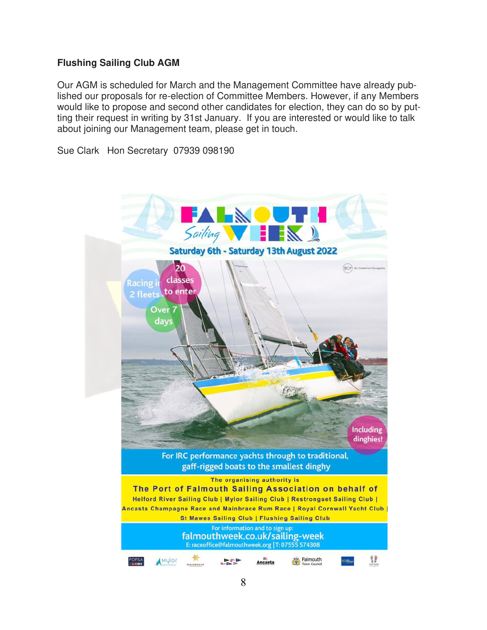#### **Flushing Sailing Club AGM**

Our AGM is scheduled for March and the Management Committee have already published our proposals for re-election of Committee Members. However, if any Members would like to propose and second other candidates for election, they can do so by putting their request in writing by 31st January. If you are interested or would like to talk about joining our Management team, please get in touch.

Sue Clark Hon Secretary 07939 098190